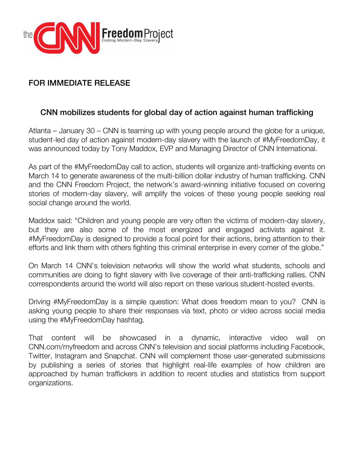

## FOR IMMEDIATE RELEASE

## CNN mobilizes students for global day of action against human trafficking

Atlanta – January 30 – CNN is teaming up with young people around the globe for a unique, student-led day of action against modern-day slavery with the launch of #MyFreedomDay, it was announced today by Tony Maddox, EVP and Managing Director of CNN International.

As part of the #MyFreedomDay call to action, students will organize anti-trafficking events on March 14 to generate awareness of the multi-billion dollar industry of human trafficking. CNN and the CNN Freedom Project, the network's award-winning initiative focused on covering stories of modern-day slavery, will amplify the voices of these young people seeking real social change around the world.

Maddox said: "Children and young people are very often the victims of modern-day slavery, but they are also some of the most energized and engaged activists against it. #MyFreedomDay is designed to provide a focal point for their actions, bring attention to their efforts and link them with others fighting this criminal enterprise in every corner of the globe."

On March 14 CNN's television networks will show the world what students, schools and communities are doing to fight slavery with live coverage of their anti-trafficking rallies. CNN correspondents around the world will also report on these various student-hosted events.

Driving #MyFreedomDay is a simple question: What does freedom mean to you? CNN is asking young people to share their responses via text, photo or video across social media using the #MyFreedomDay hashtag.

That content will be showcased in a dynamic, interactive video wall on CNN.com/myfreedom and across CNN's television and social platforms including Facebook, Twitter, Instagram and Snapchat. CNN will complement those user-generated submissions by publishing a series of stories that highlight real-life examples of how children are approached by human traffickers in addition to recent studies and statistics from support organizations.